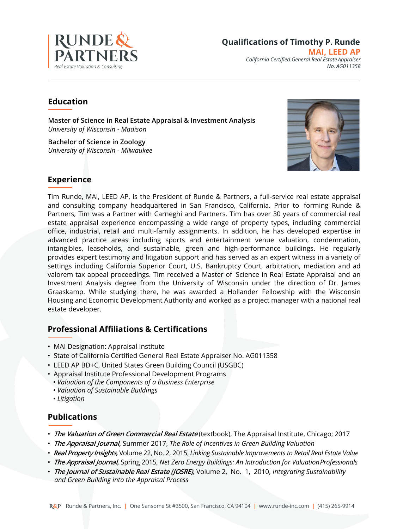

**MAI, LEED AP** *California Certified General Real Estate Appraiser No. AG011358*

# **Education**

**Master of Science in Real Estate Appraisal & Investment Analysis** *University of Wisconsin - Madison*

**Bachelor of Science in Zoology** *University of Wisconsin - Milwaukee*



# **Experience**

Tim Runde, MAI, LEED AP, is the President of Runde & Partners, a full-service real estate appraisal and consulting company headquartered in San Francisco, California. Prior to forming Runde & Partners, Tim was a Partner with Carneghi and Partners. Tim has over 30 years of commercial real estate appraisal experience encompassing a wide range of property types, including commercial office, industrial, retail and multi-family assignments. In addition, he has developed expertise in advanced practice areas including sports and entertainment venue valuation, condemnation, intangibles, leaseholds, and sustainable, green and high-performance buildings. He regularly provides expert testimony and litigation support and has served as an expert witness in a variety of settings including California Superior Court, U.S. Bankruptcy Court, arbitration, mediation and ad valorem tax appeal proceedings. Tim received a Master of Science in Real Estate Appraisal and an Investment Analysis degree from the University of Wisconsin under the direction of Dr. James Graaskamp. While studying there, he was awarded a Hollander Fellowship with the Wisconsin Housing and Economic Development Authority and worked as a project manager with a national real estate developer.

# **Professional Affiliations & Certifications**

- MAI Designation: Appraisal Institute
- State of California Certified General Real Estate Appraiser No. AG011358
- LEED AP BD+C, United States Green Building Council (USGBC)
- Appraisal Institute Professional Development Programs
- *• Valuation of the Components of a Business Enterprise*
- *• Valuation of Sustainable Buildings*
- *• Litigation*

# **Publications**

- **The Valuation of Green Commercial Real Estate** (textbook), The Appraisal Institute, Chicago; 2017
- **The Appraisal Journal,** Summer 2017, *The Role of Incentives in Green Building Valuation*
- **Real Property Insights,** Volume 22, No. 2, 2015, *Linking Sustainable Improvements to Retail Real Estate Value*
- **The Appraisal Journal,** Spring 2015, *Net Zero Energy Buildings: An Introduction for ValuationProfessionals*
- **The Journal of Sustainable Real Estate (JOSRE),** Volume 2, No. 1, 2010, *Integrating Sustainability and Green Building into the Appraisal Process*